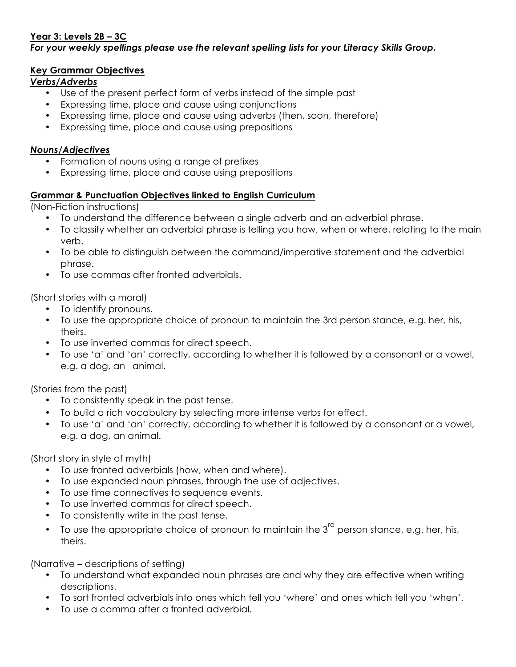## **Year 3: Levels 2B – 3C**

#### *For your weekly spellings please use the relevant spelling lists for your Literacy Skills Group.*

#### **Key Grammar Objectives**

### *Verbs/Adverbs*

- Use of the present perfect form of verbs instead of the simple past
- Expressing time, place and cause using conjunctions
- Expressing time, place and cause using adverbs (then, soon, therefore)
- Expressing time, place and cause using prepositions

#### *Nouns/Adjectives*

- Formation of nouns using a range of prefixes
- Expressing time, place and cause using prepositions

## **Grammar & Punctuation Objectives linked to English Curriculum**

(Non-Fiction instructions)

- To understand the difference between a single adverb and an adverbial phrase.
- To classify whether an adverbial phrase is telling you how, when or where, relating to the main verb.
- To be able to distinguish between the command/imperative statement and the adverbial phrase.
- To use commas after fronted adverbials.

(Short stories with a moral)

- To identify pronouns.
- To use the appropriate choice of pronoun to maintain the 3rd person stance, e.g. her, his, theirs.
- To use inverted commas for direct speech.
- To use 'a' and 'an' correctly, according to whether it is followed by a consonant or a vowel, e.g. a dog, an animal.

(Stories from the past)

- To consistently speak in the past tense.
- To build a rich vocabulary by selecting more intense verbs for effect.
- To use 'a' and 'an' correctly, according to whether it is followed by a consonant or a vowel, e.g. a dog, an animal.

(Short story in style of myth)

- To use fronted adverbials (how, when and where).
- To use expanded noun phrases, through the use of adjectives.
- To use time connectives to sequence events.
- To use inverted commas for direct speech.
- To consistently write in the past tense.
- To use the appropriate choice of pronoun to maintain the  $3<sup>rd</sup>$  person stance, e.g. her, his, theirs.

(Narrative – descriptions of setting)

- To understand what expanded noun phrases are and why they are effective when writing descriptions.
- To sort fronted adverbials into ones which tell you 'where' and ones which tell you 'when'.
- To use a comma after a fronted adverbial.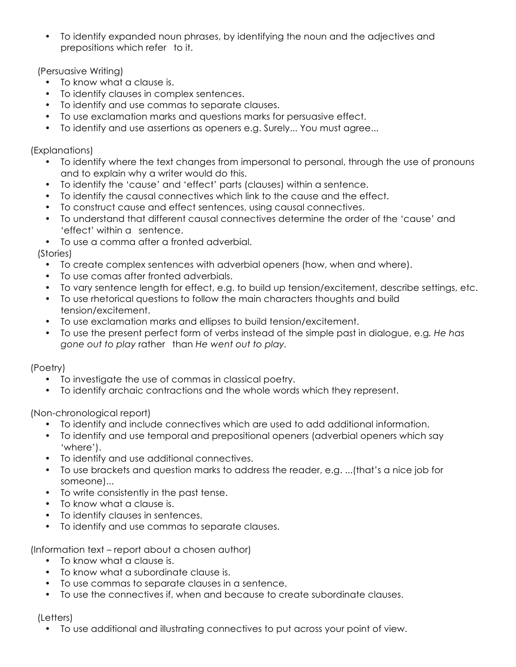• To identify expanded noun phrases, by identifying the noun and the adjectives and prepositions which refer to it.

(Persuasive Writing)

- To know what a clause is.
- To identify clauses in complex sentences.
- To identify and use commas to separate clauses.
- To use exclamation marks and questions marks for persuasive effect.
- To identify and use assertions as openers e.g. Surely... You must agree...

(Explanations)

- To identify where the text changes from impersonal to personal, through the use of pronouns and to explain why a writer would do this.
- To identify the 'cause' and 'effect' parts (clauses) within a sentence.
- To identify the causal connectives which link to the cause and the effect.
- To construct cause and effect sentences, using causal connectives.
- To understand that different causal connectives determine the order of the 'cause' and 'effect' within a sentence.
- To use a comma after a fronted adverbial.

(Stories)

- To create complex sentences with adverbial openers (how, when and where).
- To use comas after fronted adverbials.
- To vary sentence length for effect, e.g. to build up tension/excitement, describe settings, etc.
- To use rhetorical questions to follow the main characters thoughts and build tension/excitement.
- To use exclamation marks and ellipses to build tension/excitement.
- To use the present perfect form of verbs instead of the simple past in dialogue, e.g*. He has gone out to play* rather than *He went out to play.*

# (Poetry)

- To investigate the use of commas in classical poetry.
- To identify archaic contractions and the whole words which they represent.

(Non-chronological report)

- To identify and include connectives which are used to add additional information.
- To identify and use temporal and prepositional openers (adverbial openers which say 'where').
- To identify and use additional connectives.
- To use brackets and question marks to address the reader, e.g. ...(that's a nice job for someone)...
- To write consistently in the past tense.
- To know what a clause is.
- To identify clauses in sentences.
- To identify and use commas to separate clauses.

(Information text – report about a chosen author)

- To know what a clause is.
- To know what a subordinate clause is.
- To use commas to separate clauses in a sentence.
- To use the connectives if, when and because to create subordinate clauses.

## (Letters)

• To use additional and illustrating connectives to put across your point of view.